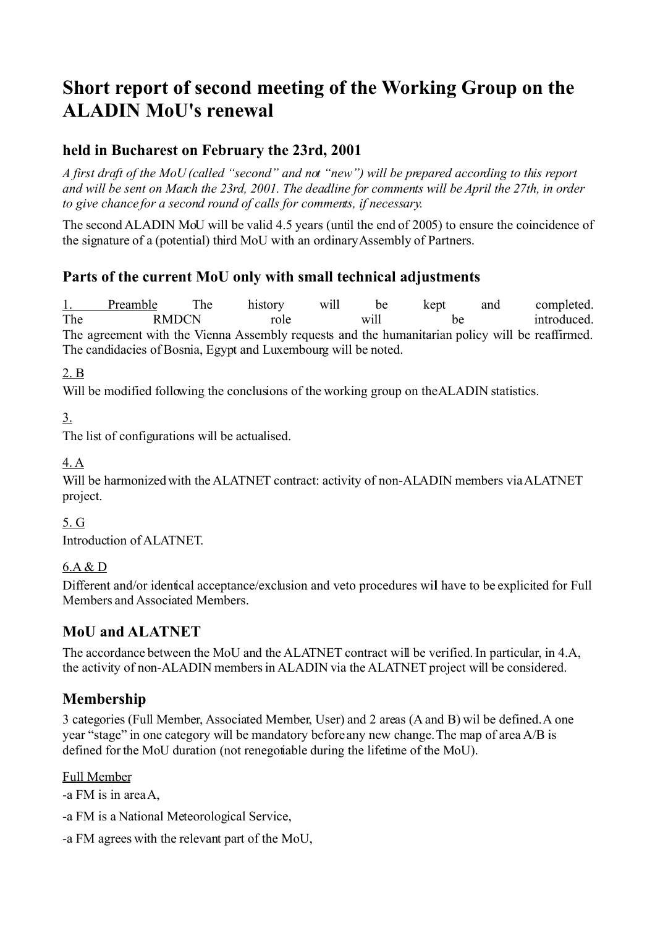# **Short report of second meeting of the Working Group on the ALADIN MoU's renewal**

# **held in Bucharest on February the 23rd, 2001**

*A first draft of the MoU (called "second" and not "new") will be prepared according to this report and will be sent on March the 23rd, 2001. The deadline for comments will be April the 27th, in order to give chance for a second round of calls for comments, if necessary.*

The second ALADIN MoU will be valid 4.5 years (until the end of 2005) to ensure the coincidence of the signature of a (potential) third MoU with an ordinary Assembly of Partners.

# **Parts of the current MoU only with small technical adjustments**

1. Preamble The history will be kept and completed. The RMDCN role will be introduced. The agreement with the Vienna Assembly requests and the humanitarian policy will be reaffirmed. The candidacies of Bosnia, Egypt and Luxembourg will be noted.

2. B

Will be modified following the conclusions of the working group on the ALADIN statistics.

3.

The list of configurations will be actualised.

4. A

Will be harmonized with the ALATNET contract: activity of non-ALADIN members via ALATNET project.

5. G

Introduction of ALATNET.

### 6.A & D

Different and/or identical acceptance/exclusion and veto procedures wil have to be explicited for Full Members and Associated Members.

# **MoU and ALATNET**

The accordance between the MoU and the ALATNET contract will be verified. In particular, in 4.A, the activity of non-ALADIN members in ALADIN via the ALATNET project will be considered.

# **Membership**

3 categories (Full Member, Associated Member, User) and 2 areas (A and B) wil be defined.A one year "stage" in one category will be mandatory before any new change.The map of area A/B is defined for the MoU duration (not renegotiable during the lifetime of the MoU).

### Full Member

-a FM is in areaA,

-a FM is a National Meteorological Service,

-a FM agrees with the relevant part of the MoU,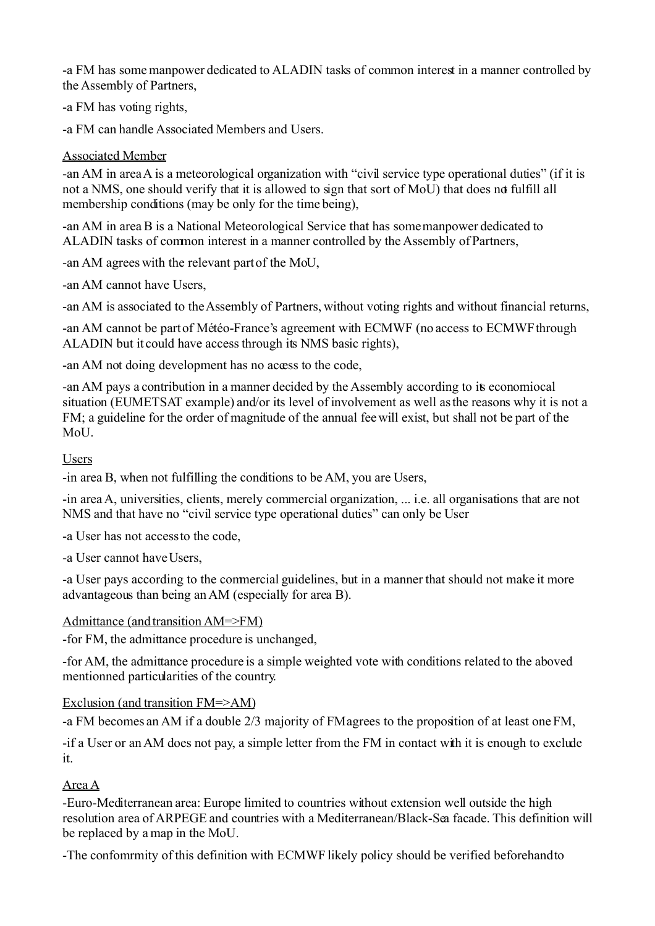-a FM has some manpower dedicated to ALADIN tasks of common interest in a manner controlled by the Assembly of Partners,

-a FM has voting rights,

-a FM can handle Associated Members and Users.

#### Associated Member

-an AM in areaA is a meteorological organization with "civil service type operational duties" (if it is not a NMS, one should verify that it is allowed to sign that sort of MoU) that does not fulfill all membership conditions (may be only for the time being),

-an AM in area B is a National Meteorological Service that has some manpower dedicated to ALADIN tasks of common interest in a manner controlled by the Assembly of Partners,

-an AM agrees with the relevant part of the MoU,

-an AM cannot have Users,

-an AM is associated to the Assembly of Partners, without voting rights and without financial returns,

-an AM cannot be part of Météo-France's agreement with ECMWF (no access to ECMWF through ALADIN but it could have access through its NMS basic rights),

-an AM not doing development has no access to the code,

-an AM pays a contribution in a manner decided by the Assembly according to its economiocal situation (EUMETSAT example) and/or its level of involvement as well as the reasons why it is not a FM; a guideline for the order of magnitude of the annual fee will exist, but shall not be part of the  $Mol<sub>L</sub>$ 

#### Users

-in area B, when not fulfilling the conditions to be AM, you are Users,

-in areaA, universities, clients, merely commercial organization, ... i.e. all organisations that are not NMS and that have no "civil service type operational duties" can only be User

-a User has not access to the code,

-a User cannot have Users,

-a User pays according to the commercial guidelines, but in a manner that should not make it more advantageous than being an AM (especially for area B).

#### Admittance (and transition AM=>FM)

-for FM, the admittance procedure is unchanged,

-for AM, the admittance procedure is a simple weighted vote with conditions related to the aboved mentionned particularities of the country.

### Exclusion (and transition FM=>AM)

-a FM becomes an AM if a double 2/3 majority of FM agrees to the proposition of at least one FM,

-if a User or an AM does not pay, a simple letter from the FM in contact with it is enough to exclude it.

### Area A

-Euro-Mediterranean area: Europe limited to countries without extension well outside the high resolution area of ARPEGE and countries with a Mediterranean/Black-Sea facade. This definition will be replaced by a map in the MoU.

-The confomrmity of this definition with ECMWF likely policy should be verified beforehand to